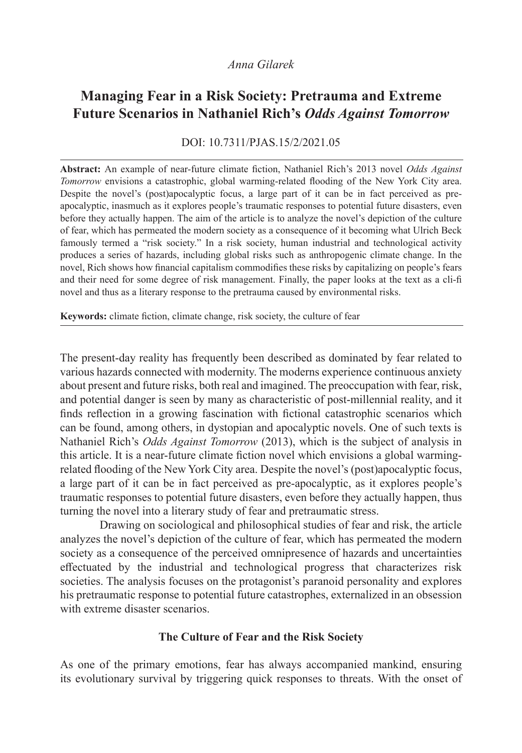# *Anna Gilarek*

# **Managing Fear in a Risk Society: Pretrauma and Extreme Future Scenarios in Nathaniel Rich's** *Odds Against Tomorrow*

DOI: 10.7311/PJAS.15/2/2021.05

**Abstract:** An example of near-future climate fiction, Nathaniel Rich's 2013 novel *Odds Against Tomorrow* envisions a catastrophic, global warming-related flooding of the New York City area. Despite the novel's (post)apocalyptic focus, a large part of it can be in fact perceived as preapocalyptic, inasmuch as it explores people's traumatic responses to potential future disasters, even before they actually happen. The aim of the article is to analyze the novel's depiction of the culture of fear, which has permeated the modern society as a consequence of it becoming what Ulrich Beck famously termed a "risk society." In a risk society, human industrial and technological activity produces a series of hazards, including global risks such as anthropogenic climate change. In the novel, Rich shows how financial capitalism commodifies these risks by capitalizing on people's fears and their need for some degree of risk management. Finally, the paper looks at the text as a cli-fi novel and thus as a literary response to the pretrauma caused by environmental risks.

**Keywords:** climate fiction, climate change, risk society, the culture of fear

The present-day reality has frequently been described as dominated by fear related to various hazards connected with modernity. The moderns experience continuous anxiety about present and future risks, both real and imagined. The preoccupation with fear, risk, and potential danger is seen by many as characteristic of post-millennial reality, and it finds reflection in a growing fascination with fictional catastrophic scenarios which can be found, among others, in dystopian and apocalyptic novels. One of such texts is Nathaniel Rich's *Odds Against Tomorrow* (2013), which is the subject of analysis in this article. It is a near-future climate fiction novel which envisions a global warmingrelated flooding of the New York City area. Despite the novel's (post)apocalyptic focus, a large part of it can be in fact perceived as pre-apocalyptic, as it explores people's traumatic responses to potential future disasters, even before they actually happen, thus turning the novel into a literary study of fear and pretraumatic stress.

Drawing on sociological and philosophical studies of fear and risk, the article analyzes the novel's depiction of the culture of fear, which has permeated the modern society as a consequence of the perceived omnipresence of hazards and uncertainties effectuated by the industrial and technological progress that characterizes risk societies. The analysis focuses on the protagonist's paranoid personality and explores his pretraumatic response to potential future catastrophes, externalized in an obsession with extreme disaster scenarios.

#### **The Culture of Fear and the Risk Society**

As one of the primary emotions, fear has always accompanied mankind, ensuring its evolutionary survival by triggering quick responses to threats. With the onset of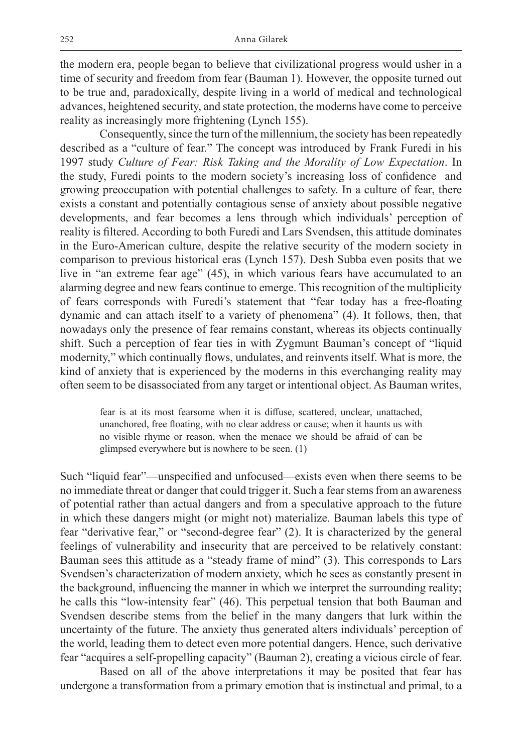the modern era, people began to believe that civilizational progress would usher in a time of security and freedom from fear (Bauman 1). However, the opposite turned out to be true and, paradoxically, despite living in a world of medical and technological advances, heightened security, and state protection, the moderns have come to perceive reality as increasingly more frightening (Lynch 155).

Consequently, since the turn of the millennium, the society has been repeatedly described as a "culture of fear." The concept was introduced by Frank Furedi in his 1997 study *Culture of Fear: Risk Taking and the Morality of Low Expectation*. In the study, Furedi points to the modern society's increasing loss of confidence and growing preoccupation with potential challenges to safety. In a culture of fear, there exists a constant and potentially contagious sense of anxiety about possible negative developments, and fear becomes a lens through which individuals' perception of reality is filtered. According to both Furedi and Lars Svendsen, this attitude dominates in the Euro-American culture, despite the relative security of the modern society in comparison to previous historical eras (Lynch 157). Desh Subba even posits that we live in "an extreme fear age" (45), in which various fears have accumulated to an alarming degree and new fears continue to emerge. This recognition of the multiplicity of fears corresponds with Furedi's statement that "fear today has a free-floating dynamic and can attach itself to a variety of phenomena" (4). It follows, then, that nowadays only the presence of fear remains constant, whereas its objects continually shift. Such a perception of fear ties in with Zygmunt Bauman's concept of "liquid modernity," which continually flows, undulates, and reinvents itself. What is more, the kind of anxiety that is experienced by the moderns in this everchanging reality may often seem to be disassociated from any target or intentional object. As Bauman writes,

fear is at its most fearsome when it is diffuse, scattered, unclear, unattached, unanchored, free floating, with no clear address or cause; when it haunts us with no visible rhyme or reason, when the menace we should be afraid of can be glimpsed everywhere but is nowhere to be seen. (1)

Such "liquid fear"—unspecified and unfocused—exists even when there seems to be no immediate threat or danger that could trigger it. Such a fear stems from an awareness of potential rather than actual dangers and from a speculative approach to the future in which these dangers might (or might not) materialize. Bauman labels this type of fear "derivative fear," or "second-degree fear" (2). It is characterized by the general feelings of vulnerability and insecurity that are perceived to be relatively constant: Bauman sees this attitude as a "steady frame of mind" (3). This corresponds to Lars Svendsen's characterization of modern anxiety, which he sees as constantly present in the background, influencing the manner in which we interpret the surrounding reality; he calls this "low-intensity fear" (46). This perpetual tension that both Bauman and Svendsen describe stems from the belief in the many dangers that lurk within the uncertainty of the future. The anxiety thus generated alters individuals' perception of the world, leading them to detect even more potential dangers. Hence, such derivative fear "acquires a self-propelling capacity" (Bauman 2), creating a vicious circle of fear.

Based on all of the above interpretations it may be posited that fear has undergone a transformation from a primary emotion that is instinctual and primal, to a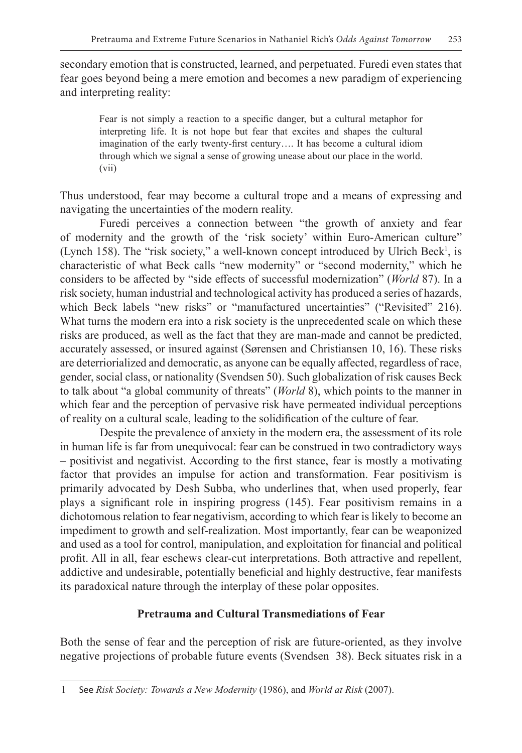secondary emotion that is constructed, learned, and perpetuated. Furedi even states that fear goes beyond being a mere emotion and becomes a new paradigm of experiencing and interpreting reality:

Fear is not simply a reaction to a specific danger, but a cultural metaphor for interpreting life. It is not hope but fear that excites and shapes the cultural imagination of the early twenty-first century…. It has become a cultural idiom through which we signal a sense of growing unease about our place in the world. (vii)

Thus understood, fear may become a cultural trope and a means of expressing and navigating the uncertainties of the modern reality.

Furedi perceives a connection between "the growth of anxiety and fear of modernity and the growth of the 'risk society' within Euro-American culture" (Lynch 158). The "risk society," a well-known concept introduced by Ulrich Beck<sup>1</sup>, is characteristic of what Beck calls "new modernity" or "second modernity," which he considers to be affected by "side effects of successful modernization" (*World* 87). In a risk society, human industrial and technological activity has produced a series of hazards, which Beck labels "new risks" or "manufactured uncertainties" ("Revisited" 216). What turns the modern era into a risk society is the unprecedented scale on which these risks are produced, as well as the fact that they are man-made and cannot be predicted, accurately assessed, or insured against (Sørensen and Christiansen 10, 16). These risks are deterriorialized and democratic, as anyone can be equally affected, regardless of race, gender, social class, or nationality (Svendsen 50). Such globalization of risk causes Beck to talk about "a global community of threats" (*World* 8), which points to the manner in which fear and the perception of pervasive risk have permeated individual perceptions of reality on a cultural scale, leading to the solidification of the culture of fear.

Despite the prevalence of anxiety in the modern era, the assessment of its role in human life is far from unequivocal: fear can be construed in two contradictory ways – positivist and negativist. According to the first stance, fear is mostly a motivating factor that provides an impulse for action and transformation. Fear positivism is primarily advocated by Desh Subba, who underlines that, when used properly, fear plays a significant role in inspiring progress (145). Fear positivism remains in a dichotomous relation to fear negativism, according to which fear is likely to become an impediment to growth and self-realization. Most importantly, fear can be weaponized and used as a tool for control, manipulation, and exploitation for financial and political profit. All in all, fear eschews clear-cut interpretations. Both attractive and repellent, addictive and undesirable, potentially beneficial and highly destructive, fear manifests its paradoxical nature through the interplay of these polar opposites.

## **Pretrauma and Cultural Transmediations of Fear**

Both the sense of fear and the perception of risk are future-oriented, as they involve negative projections of probable future events (Svendsen 38). Beck situates risk in a

<sup>1</sup> See *Risk Society: Towards a New Modernity* (1986), and *World at Risk* (2007).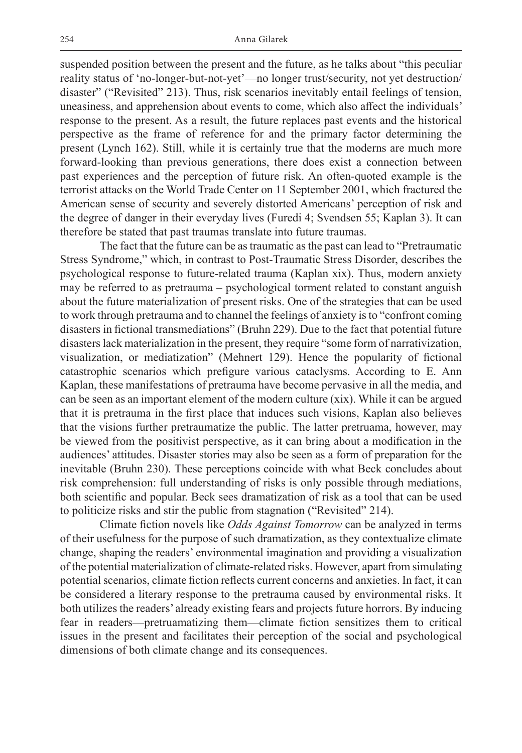suspended position between the present and the future, as he talks about "this peculiar reality status of 'no-longer-but-not-yet'—no longer trust/security, not yet destruction/ disaster" ("Revisited" 213). Thus, risk scenarios inevitably entail feelings of tension, uneasiness, and apprehension about events to come, which also affect the individuals' response to the present. As a result, the future replaces past events and the historical perspective as the frame of reference for and the primary factor determining the present (Lynch 162). Still, while it is certainly true that the moderns are much more forward-looking than previous generations, there does exist a connection between past experiences and the perception of future risk. An often-quoted example is the terrorist attacks on the World Trade Center on 11 September 2001, which fractured the American sense of security and severely distorted Americans' perception of risk and the degree of danger in their everyday lives (Furedi 4; Svendsen 55; Kaplan 3). It can therefore be stated that past traumas translate into future traumas.

The fact that the future can be as traumatic as the past can lead to "Pretraumatic Stress Syndrome," which, in contrast to Post-Traumatic Stress Disorder, describes the psychological response to future-related trauma (Kaplan xix). Thus, modern anxiety may be referred to as pretrauma – psychological torment related to constant anguish about the future materialization of present risks. One of the strategies that can be used to work through pretrauma and to channel the feelings of anxiety is to "confront coming disasters in fictional transmediations" (Bruhn 229). Due to the fact that potential future disasters lack materialization in the present, they require "some form of narrativization, visualization, or mediatization" (Mehnert 129). Hence the popularity of fictional catastrophic scenarios which prefigure various cataclysms. According to E. Ann Kaplan, these manifestations of pretrauma have become pervasive in all the media, and can be seen as an important element of the modern culture (xix). While it can be argued that it is pretrauma in the first place that induces such visions, Kaplan also believes that the visions further pretraumatize the public. The latter pretruama, however, may be viewed from the positivist perspective, as it can bring about a modification in the audiences' attitudes. Disaster stories may also be seen as a form of preparation for the inevitable (Bruhn 230). These perceptions coincide with what Beck concludes about risk comprehension: full understanding of risks is only possible through mediations, both scientific and popular. Beck sees dramatization of risk as a tool that can be used to politicize risks and stir the public from stagnation ("Revisited" 214).

Climate fiction novels like *Odds Against Tomorrow* can be analyzed in terms of their usefulness for the purpose of such dramatization, as they contextualize climate change, shaping the readers' environmental imagination and providing a visualization of the potential materialization of climate-related risks. However, apart from simulating potential scenarios, climate fiction reflects current concerns and anxieties. In fact, it can be considered a literary response to the pretrauma caused by environmental risks. It both utilizes the readers' already existing fears and projects future horrors. By inducing fear in readers—pretruamatizing them—climate fiction sensitizes them to critical issues in the present and facilitates their perception of the social and psychological dimensions of both climate change and its consequences.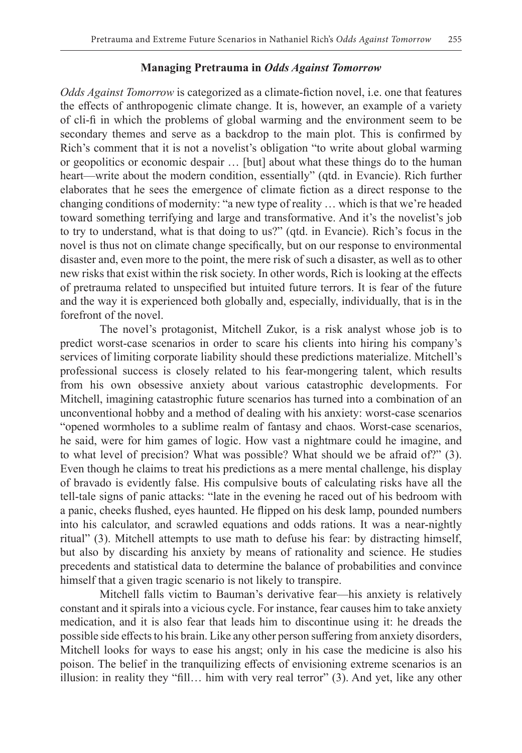#### **Managing Pretrauma in** *Odds Against Tomorrow*

*Odds Against Tomorrow* is categorized as a climate-fiction novel, i.e. one that features the effects of anthropogenic climate change. It is, however, an example of a variety of cli-fi in which the problems of global warming and the environment seem to be secondary themes and serve as a backdrop to the main plot. This is confirmed by Rich's comment that it is not a novelist's obligation "to write about global warming or geopolitics or economic despair … [but] about what these things do to the human heart—write about the modern condition, essentially" (qtd. in Evancie). Rich further elaborates that he sees the emergence of climate fiction as a direct response to the changing conditions of modernity: "a new type of reality … which is that we're headed toward something terrifying and large and transformative. And it's the novelist's job to try to understand, what is that doing to us?" (qtd. in Evancie). Rich's focus in the novel is thus not on climate change specifically, but on our response to environmental disaster and, even more to the point, the mere risk of such a disaster, as well as to other new risks that exist within the risk society. In other words, Rich is looking at the effects of pretrauma related to unspecified but intuited future terrors. It is fear of the future and the way it is experienced both globally and, especially, individually, that is in the forefront of the novel.

The novel's protagonist, Mitchell Zukor, is a risk analyst whose job is to predict worst-case scenarios in order to scare his clients into hiring his company's services of limiting corporate liability should these predictions materialize. Mitchell's professional success is closely related to his fear-mongering talent, which results from his own obsessive anxiety about various catastrophic developments. For Mitchell, imagining catastrophic future scenarios has turned into a combination of an unconventional hobby and a method of dealing with his anxiety: worst-case scenarios "opened wormholes to a sublime realm of fantasy and chaos. Worst-case scenarios, he said, were for him games of logic. How vast a nightmare could he imagine, and to what level of precision? What was possible? What should we be afraid of?" (3). Even though he claims to treat his predictions as a mere mental challenge, his display of bravado is evidently false. His compulsive bouts of calculating risks have all the tell-tale signs of panic attacks: "late in the evening he raced out of his bedroom with a panic, cheeks flushed, eyes haunted. He flipped on his desk lamp, pounded numbers into his calculator, and scrawled equations and odds rations. It was a near-nightly ritual" (3). Mitchell attempts to use math to defuse his fear: by distracting himself, but also by discarding his anxiety by means of rationality and science. He studies precedents and statistical data to determine the balance of probabilities and convince himself that a given tragic scenario is not likely to transpire.

Mitchell falls victim to Bauman's derivative fear—his anxiety is relatively constant and it spirals into a vicious cycle. For instance, fear causes him to take anxiety medication, and it is also fear that leads him to discontinue using it: he dreads the possible side effects to his brain. Like any other person suffering from anxiety disorders, Mitchell looks for ways to ease his angst; only in his case the medicine is also his poison. The belief in the tranquilizing effects of envisioning extreme scenarios is an illusion: in reality they "fill… him with very real terror" (3). And yet, like any other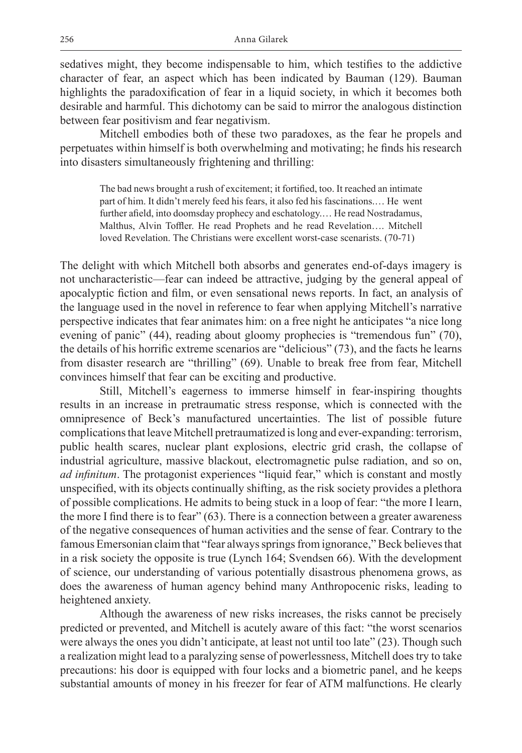sedatives might, they become indispensable to him, which testifies to the addictive character of fear, an aspect which has been indicated by Bauman (129). Bauman highlights the paradoxification of fear in a liquid society, in which it becomes both desirable and harmful. This dichotomy can be said to mirror the analogous distinction between fear positivism and fear negativism.

Mitchell embodies both of these two paradoxes, as the fear he propels and perpetuates within himself is both overwhelming and motivating; he finds his research into disasters simultaneously frightening and thrilling:

The bad news brought a rush of excitement; it fortified, too. It reached an intimate part of him. It didn't merely feed his fears, it also fed his fascinations.… He went further afield, into doomsday prophecy and eschatology.… He read Nostradamus, Malthus, Alvin Toffler. He read Prophets and he read Revelation…. Mitchell loved Revelation. The Christians were excellent worst-case scenarists. (70-71)

The delight with which Mitchell both absorbs and generates end-of-days imagery is not uncharacteristic—fear can indeed be attractive, judging by the general appeal of apocalyptic fiction and film, or even sensational news reports. In fact, an analysis of the language used in the novel in reference to fear when applying Mitchell's narrative perspective indicates that fear animates him: on a free night he anticipates "a nice long evening of panic" (44), reading about gloomy prophecies is "tremendous fun" (70), the details of his horrific extreme scenarios are "delicious" (73), and the facts he learns from disaster research are "thrilling" (69). Unable to break free from fear, Mitchell convinces himself that fear can be exciting and productive.

Still, Mitchell's eagerness to immerse himself in fear-inspiring thoughts results in an increase in pretraumatic stress response, which is connected with the omnipresence of Beck's manufactured uncertainties. The list of possible future complications that leave Mitchell pretraumatized is long and ever-expanding: terrorism, public health scares, nuclear plant explosions, electric grid crash, the collapse of industrial agriculture, massive blackout, electromagnetic pulse radiation, and so on, *ad infinitum*. The protagonist experiences "liquid fear," which is constant and mostly unspecified, with its objects continually shifting, as the risk society provides a plethora of possible complications. He admits to being stuck in a loop of fear: "the more I learn, the more I find there is to fear" (63). There is a connection between a greater awareness of the negative consequences of human activities and the sense of fear. Contrary to the famous Emersonian claim that "fear always springs from ignorance," Beck believes that in a risk society the opposite is true (Lynch 164; Svendsen 66). With the development of science, our understanding of various potentially disastrous phenomena grows, as does the awareness of human agency behind many Anthropocenic risks, leading to heightened anxiety.

Although the awareness of new risks increases, the risks cannot be precisely predicted or prevented, and Mitchell is acutely aware of this fact: "the worst scenarios were always the ones you didn't anticipate, at least not until too late" (23). Though such a realization might lead to a paralyzing sense of powerlessness, Mitchell does try to take precautions: his door is equipped with four locks and a biometric panel, and he keeps substantial amounts of money in his freezer for fear of ATM malfunctions. He clearly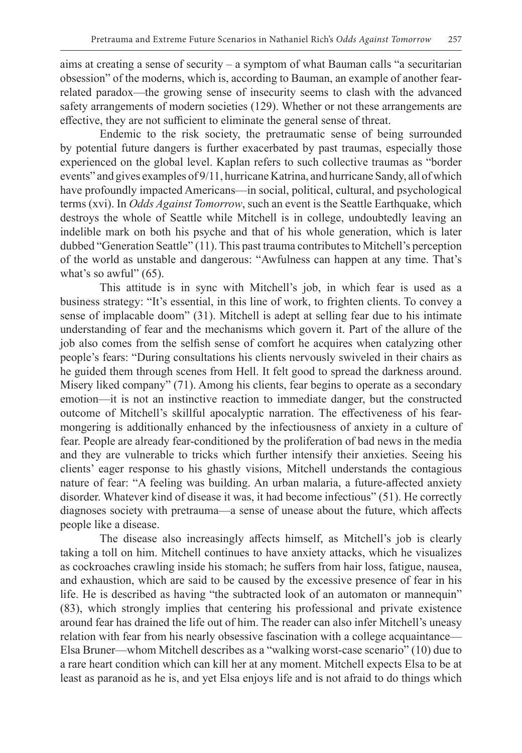aims at creating a sense of security – a symptom of what Bauman calls "a securitarian obsession" of the moderns, which is, according to Bauman, an example of another fearrelated paradox—the growing sense of insecurity seems to clash with the advanced safety arrangements of modern societies (129). Whether or not these arrangements are effective, they are not sufficient to eliminate the general sense of threat.

Endemic to the risk society, the pretraumatic sense of being surrounded by potential future dangers is further exacerbated by past traumas, especially those experienced on the global level. Kaplan refers to such collective traumas as "border events" and gives examples of 9/11, hurricane Katrina, and hurricane Sandy, all of which have profoundly impacted Americans—in social, political, cultural, and psychological terms (xvi). In *Odds Against Tomorrow*, such an event is the Seattle Earthquake, which destroys the whole of Seattle while Mitchell is in college, undoubtedly leaving an indelible mark on both his psyche and that of his whole generation, which is later dubbed "Generation Seattle" (11). This past trauma contributes to Mitchell's perception of the world as unstable and dangerous: "Awfulness can happen at any time. That's what's so awful"  $(65)$ .

This attitude is in sync with Mitchell's job, in which fear is used as a business strategy: "It's essential, in this line of work, to frighten clients. To convey a sense of implacable doom" (31). Mitchell is adept at selling fear due to his intimate understanding of fear and the mechanisms which govern it. Part of the allure of the job also comes from the selfish sense of comfort he acquires when catalyzing other people's fears: "During consultations his clients nervously swiveled in their chairs as he guided them through scenes from Hell. It felt good to spread the darkness around. Misery liked company" (71). Among his clients, fear begins to operate as a secondary emotion—it is not an instinctive reaction to immediate danger, but the constructed outcome of Mitchell's skillful apocalyptic narration. The effectiveness of his fearmongering is additionally enhanced by the infectiousness of anxiety in a culture of fear. People are already fear-conditioned by the proliferation of bad news in the media and they are vulnerable to tricks which further intensify their anxieties. Seeing his clients' eager response to his ghastly visions, Mitchell understands the contagious nature of fear: "A feeling was building. An urban malaria, a future-affected anxiety disorder. Whatever kind of disease it was, it had become infectious" (51). He correctly diagnoses society with pretrauma—a sense of unease about the future, which affects people like a disease.

The disease also increasingly affects himself, as Mitchell's job is clearly taking a toll on him. Mitchell continues to have anxiety attacks, which he visualizes as cockroaches crawling inside his stomach; he suffers from hair loss, fatigue, nausea, and exhaustion, which are said to be caused by the excessive presence of fear in his life. He is described as having "the subtracted look of an automaton or mannequin" (83), which strongly implies that centering his professional and private existence around fear has drained the life out of him. The reader can also infer Mitchell's uneasy relation with fear from his nearly obsessive fascination with a college acquaintance— Elsa Bruner—whom Mitchell describes as a "walking worst-case scenario" (10) due to a rare heart condition which can kill her at any moment. Mitchell expects Elsa to be at least as paranoid as he is, and yet Elsa enjoys life and is not afraid to do things which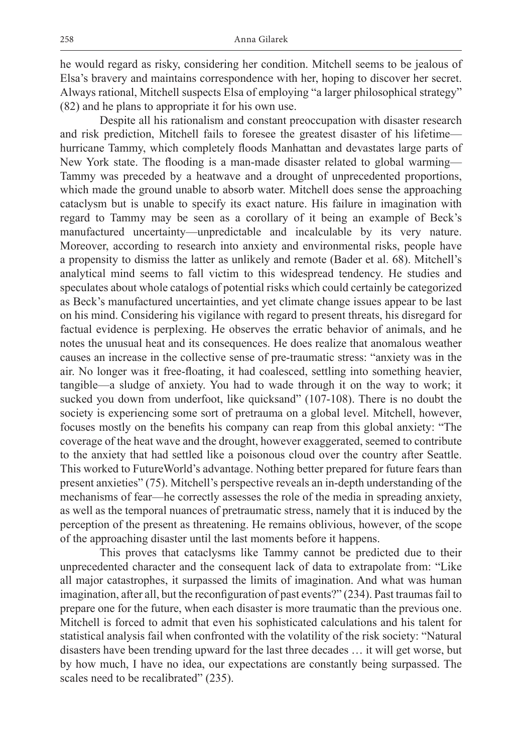he would regard as risky, considering her condition. Mitchell seems to be jealous of Elsa's bravery and maintains correspondence with her, hoping to discover her secret. Always rational, Mitchell suspects Elsa of employing "a larger philosophical strategy" (82) and he plans to appropriate it for his own use.

Despite all his rationalism and constant preoccupation with disaster research and risk prediction, Mitchell fails to foresee the greatest disaster of his lifetime hurricane Tammy, which completely floods Manhattan and devastates large parts of New York state. The flooding is a man-made disaster related to global warming— Tammy was preceded by a heatwave and a drought of unprecedented proportions, which made the ground unable to absorb water. Mitchell does sense the approaching cataclysm but is unable to specify its exact nature. His failure in imagination with regard to Tammy may be seen as a corollary of it being an example of Beck's manufactured uncertainty—unpredictable and incalculable by its very nature. Moreover, according to research into anxiety and environmental risks, people have a propensity to dismiss the latter as unlikely and remote (Bader et al. 68). Mitchell's analytical mind seems to fall victim to this widespread tendency. He studies and speculates about whole catalogs of potential risks which could certainly be categorized as Beck's manufactured uncertainties, and yet climate change issues appear to be last on his mind. Considering his vigilance with regard to present threats, his disregard for factual evidence is perplexing. He observes the erratic behavior of animals, and he notes the unusual heat and its consequences. He does realize that anomalous weather causes an increase in the collective sense of pre-traumatic stress: "anxiety was in the air. No longer was it free-floating, it had coalesced, settling into something heavier, tangible—a sludge of anxiety. You had to wade through it on the way to work; it sucked you down from underfoot, like quicksand" (107-108). There is no doubt the society is experiencing some sort of pretrauma on a global level. Mitchell, however, focuses mostly on the benefits his company can reap from this global anxiety: "The coverage of the heat wave and the drought, however exaggerated, seemed to contribute to the anxiety that had settled like a poisonous cloud over the country after Seattle. This worked to FutureWorld's advantage. Nothing better prepared for future fears than present anxieties" (75). Mitchell's perspective reveals an in-depth understanding of the mechanisms of fear—he correctly assesses the role of the media in spreading anxiety, as well as the temporal nuances of pretraumatic stress, namely that it is induced by the perception of the present as threatening. He remains oblivious, however, of the scope of the approaching disaster until the last moments before it happens.

This proves that cataclysms like Tammy cannot be predicted due to their unprecedented character and the consequent lack of data to extrapolate from: "Like all major catastrophes, it surpassed the limits of imagination. And what was human imagination, after all, but the reconfiguration of past events?" (234). Past traumas fail to prepare one for the future, when each disaster is more traumatic than the previous one. Mitchell is forced to admit that even his sophisticated calculations and his talent for statistical analysis fail when confronted with the volatility of the risk society: "Natural disasters have been trending upward for the last three decades … it will get worse, but by how much, I have no idea, our expectations are constantly being surpassed. The scales need to be recalibrated" (235).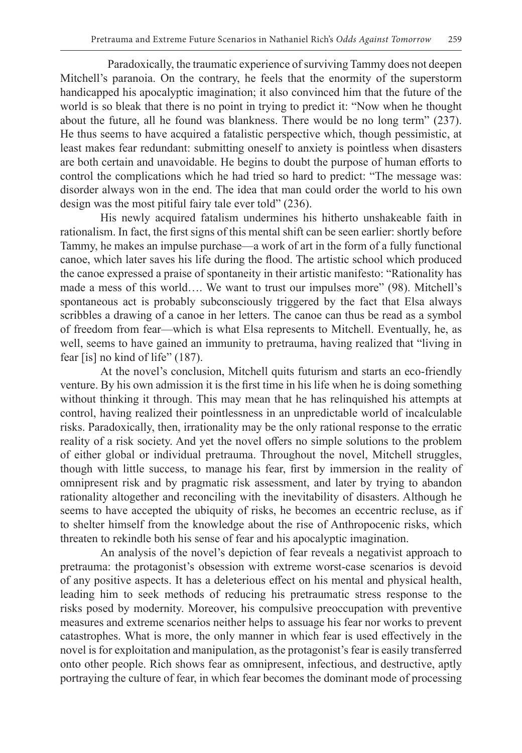Paradoxically, the traumatic experience of surviving Tammy does not deepen Mitchell's paranoia. On the contrary, he feels that the enormity of the superstorm handicapped his apocalyptic imagination; it also convinced him that the future of the world is so bleak that there is no point in trying to predict it: "Now when he thought about the future, all he found was blankness. There would be no long term" (237). He thus seems to have acquired a fatalistic perspective which, though pessimistic, at least makes fear redundant: submitting oneself to anxiety is pointless when disasters are both certain and unavoidable. He begins to doubt the purpose of human efforts to control the complications which he had tried so hard to predict: "The message was: disorder always won in the end. The idea that man could order the world to his own design was the most pitiful fairy tale ever told" (236).

His newly acquired fatalism undermines his hitherto unshakeable faith in rationalism. In fact, the first signs of this mental shift can be seen earlier: shortly before Tammy, he makes an impulse purchase—a work of art in the form of a fully functional canoe, which later saves his life during the flood. The artistic school which produced the canoe expressed a praise of spontaneity in their artistic manifesto: "Rationality has made a mess of this world…. We want to trust our impulses more" (98). Mitchell's spontaneous act is probably subconsciously triggered by the fact that Elsa always scribbles a drawing of a canoe in her letters. The canoe can thus be read as a symbol of freedom from fear—which is what Elsa represents to Mitchell. Eventually, he, as well, seems to have gained an immunity to pretrauma, having realized that "living in fear [is] no kind of life" (187).

At the novel's conclusion, Mitchell quits futurism and starts an eco-friendly venture. By his own admission it is the first time in his life when he is doing something without thinking it through. This may mean that he has relinquished his attempts at control, having realized their pointlessness in an unpredictable world of incalculable risks. Paradoxically, then, irrationality may be the only rational response to the erratic reality of a risk society. And yet the novel offers no simple solutions to the problem of either global or individual pretrauma. Throughout the novel, Mitchell struggles, though with little success, to manage his fear, first by immersion in the reality of omnipresent risk and by pragmatic risk assessment, and later by trying to abandon rationality altogether and reconciling with the inevitability of disasters. Although he seems to have accepted the ubiquity of risks, he becomes an eccentric recluse, as if to shelter himself from the knowledge about the rise of Anthropocenic risks, which threaten to rekindle both his sense of fear and his apocalyptic imagination.

An analysis of the novel's depiction of fear reveals a negativist approach to pretrauma: the protagonist's obsession with extreme worst-case scenarios is devoid of any positive aspects. It has a deleterious effect on his mental and physical health, leading him to seek methods of reducing his pretraumatic stress response to the risks posed by modernity. Moreover, his compulsive preoccupation with preventive measures and extreme scenarios neither helps to assuage his fear nor works to prevent catastrophes. What is more, the only manner in which fear is used effectively in the novel is for exploitation and manipulation, as the protagonist's fear is easily transferred onto other people. Rich shows fear as omnipresent, infectious, and destructive, aptly portraying the culture of fear, in which fear becomes the dominant mode of processing